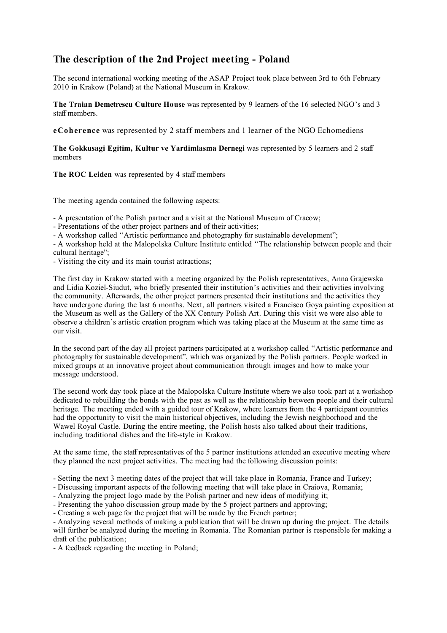## **The description of the 2nd Project meeting - Poland**

The second international working meeting of the ASAP Project took place between 3rd to 6th February 2010 in Krakow (Poland) at the National Museum in Krakow.

**The Traian Demetrescu Culture House** was represented by 9 learners of the 16 selected NGO's and 3 staff members.

**eCoherence** was represented by 2 staff members and 1 learner of the NGO Echomediens

**The Gokkusagi Egitim, Kultur ve Yardimlasma Dernegi** was represented by 5 learners and 2 staff members

The ROC Leiden was represented by 4 staff members

The meeting agenda contained the following aspects:

- A presentation of the Polish partner and a visit at the National Museum of Cracow;

- Presentations of the other project partners and of their activities;

- A workshop called "Artistic performance and photography for sustainable development";

- A workshop held at the Malopolska Culture Institute entitled "The relationship between people and their cultural heritage";

- Visiting the city and its main tourist attractions;

The first day in Krakow started with a meeting organized by the Polish representatives, Anna Grajewska and Lidia Koziel-Siudut, who briefly presented their institution's activities and their activities involving the community. Afterwards, the other project partners presented their institutions and the activities they have undergone during the last 6 months. Next, all partners visited a Francisco Goya painting exposition at the Museum as well as the Gallery of the XX Century Polish Art. During this visit we were also able to observe a children's artistic creation program which was taking place at the Museum at the same time as our visit.

In the second part of the day all project partners participated at a workshop called "Artistic performance and photography for sustainable development", which was organized by the Polish partners. People worked in mixed groups at an innovative project about communication through images and how to make your message understood.

The second work day took place at the Malopolska Culture Institute where we also took part at a workshop dedicated to rebuilding the bonds with the past as well as the relationship between people and their cultural heritage. The meeting ended with a guided tour of Krakow, where learners from the 4 participant countries had the opportunity to visit the main historical objectives, including the Jewish neighborhood and the Wawel Royal Castle. During the entire meeting, the Polish hosts also talked about their traditions, including traditional dishes and the life-style in Krakow.

At the same time, the staff representatives of the 5 partner institutions attended an executive meeting where they planned the next project activities. The meeting had the following discussion points:

- Setting the next 3 meeting dates of the project that will take place in Romania, France and Turkey;

- Discussing important aspects of the following meeting that will take place in Craiova, Romania;

- Analyzing the project logo made by the Polish partner and new ideas of modifying it;

- Presenting the yahoo discussion group made by the 5 project partners and approving;

- Creating a web page for the project that will be made by the French partner;

- Analyzing several methods of making a publication that will be drawn up during the project. The details will further be analyzed during the meeting in Romania. The Romanian partner is responsible for making a draft of the publication;

- A feedback regarding the meeting in Poland;